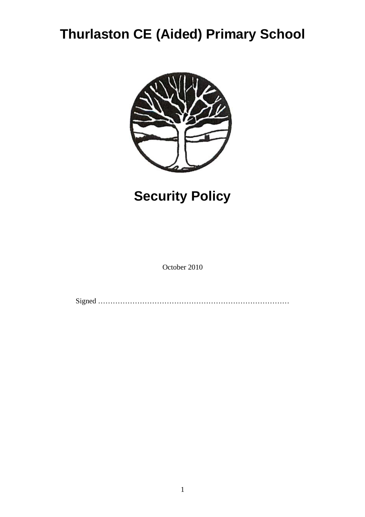## **Thurlaston CE (Aided) Primary School**



# **Security Policy**

October 2010

Signed ……………………………………………………………………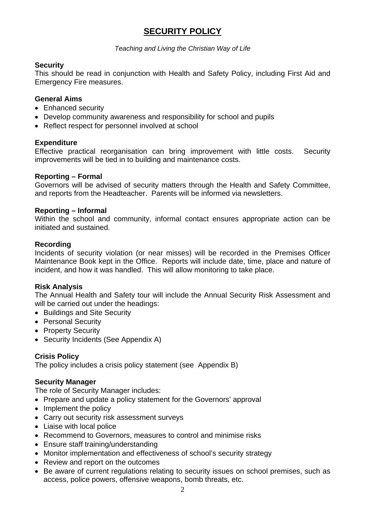## **SECURITY POLICY**

*Teaching and Living the Christian Way of Life* 

#### **Security**

This should be read in conjunction with Health and Safety Policy, including First Aid and Emergency Fire measures.

#### **General Aims**

- Enhanced security
- Develop community awareness and responsibility for school and pupils
- Reflect respect for personnel involved at school

#### **Expenditure**

Effective practical reorganisation can bring improvement with little costs. Security improvements will be tied in to building and maintenance costs.

#### **Reporting – Formal**

Governors will be advised of security matters through the Health and Safety Committee, and reports from the Headteacher. Parents will be informed via newsletters.

#### **Reporting – Informal**

Within the school and community, informal contact ensures appropriate action can be initiated and sustained.

#### **Recording**

Incidents of security violation (or near misses) will be recorded in the Premises Officer Maintenance Book kept in the Office. Reports will include date, time, place and nature of incident, and how it was handled. This will allow monitoring to take place.

#### **Risk Analysis**

The Annual Health and Safety tour will include the Annual Security Risk Assessment and will be carried out under the headings:

- Buildings and Site Security
- Personal Security
- Property Security
- Security Incidents (See Appendix A)

#### **Crisis Policy**

The policy includes a crisis policy statement (see Appendix B)

#### **Security Manager**

The role of Security Manager includes:

- Prepare and update a policy statement for the Governors' approval
- Implement the policy
- Carry out security risk assessment surveys
- Liaise with local police
- Recommend to Governors, measures to control and minimise risks
- Ensure staff training/understanding
- Monitor implementation and effectiveness of school's security strategy
- Review and report on the outcomes
- Be aware of current regulations relating to security issues on school premises, such as access, police powers, offensive weapons, bomb threats, etc.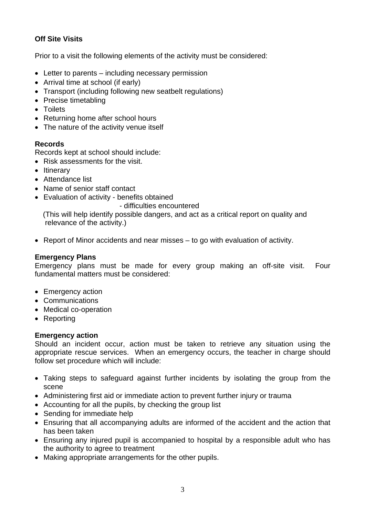## **Off Site Visits**

Prior to a visit the following elements of the activity must be considered:

- Letter to parents including necessary permission
- Arrival time at school (if early)
- Transport (including following new seatbelt regulations)
- Precise timetabling
- Toilets
- Returning home after school hours
- The nature of the activity venue itself

#### **Records**

Records kept at school should include:

- Risk assessments for the visit.
- Itinerary
- Attendance list
- Name of senior staff contact
- Evaluation of activity benefits obtained

- difficulties encountered

 (This will help identify possible dangers, and act as a critical report on quality and relevance of the activity.)

• Report of Minor accidents and near misses – to go with evaluation of activity.

#### **Emergency Plans**

Emergency plans must be made for every group making an off-site visit. Four fundamental matters must be considered:

- Emergency action
- Communications
- Medical co-operation
- Reporting

#### **Emergency action**

Should an incident occur, action must be taken to retrieve any situation using the appropriate rescue services. When an emergency occurs, the teacher in charge should follow set procedure which will include:

- Taking steps to safeguard against further incidents by isolating the group from the scene
- Administering first aid or immediate action to prevent further injury or trauma
- Accounting for all the pupils, by checking the group list
- Sending for immediate help
- Ensuring that all accompanying adults are informed of the accident and the action that has been taken
- Ensuring any injured pupil is accompanied to hospital by a responsible adult who has the authority to agree to treatment
- Making appropriate arrangements for the other pupils.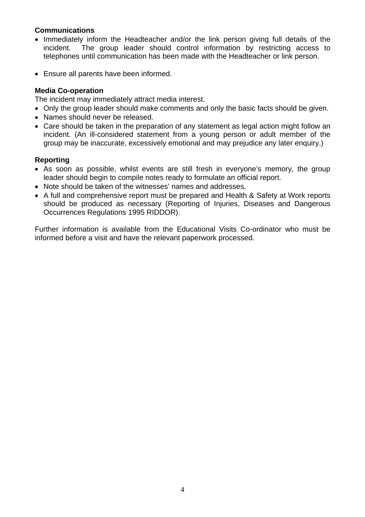#### **Communications**

- Immediately inform the Headteacher and/or the link person giving full details of the incident. The group leader should control information by restricting access to telephones until communication has been made with the Headteacher or link person.
- Ensure all parents have been informed.

#### **Media Co-operation**

The incident may immediately attract media interest.

- Only the group leader should make comments and only the basic facts should be given.
- Names should never be released.
- Care should be taken in the preparation of any statement as legal action might follow an incident. (An ill-considered statement from a young person or adult member of the group may be inaccurate, excessively emotional and may prejudice any later enquiry.)

#### **Reporting**

- As soon as possible, whilst events are still fresh in everyone's memory, the group leader should begin to compile notes ready to formulate an official report.
- Note should be taken of the witnesses' names and addresses.
- A full and comprehensive report must be prepared and Health & Safety at Work reports should be produced as necessary (Reporting of Injuries, Diseases and Dangerous Occurrences Regulations 1995 RIDDOR).

Further information is available from the Educational Visits Co-ordinator who must be informed before a visit and have the relevant paperwork processed.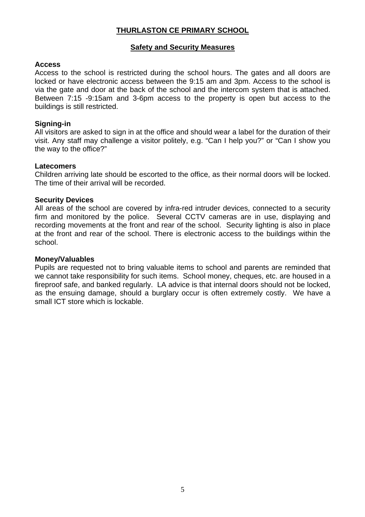#### **THURLASTON CE PRIMARY SCHOOL**

#### **Safety and Security Measures**

#### **Access**

Access to the school is restricted during the school hours. The gates and all doors are locked or have electronic access between the 9:15 am and 3pm. Access to the school is via the gate and door at the back of the school and the intercom system that is attached. Between 7:15 -9:15am and 3-6pm access to the property is open but access to the buildings is still restricted.

#### **Signing-in**

All visitors are asked to sign in at the office and should wear a label for the duration of their visit. Any staff may challenge a visitor politely, e.g. "Can I help you?" or "Can I show you the way to the office?"

#### **Latecomers**

Children arriving late should be escorted to the office, as their normal doors will be locked. The time of their arrival will be recorded.

#### **Security Devices**

All areas of the school are covered by infra-red intruder devices, connected to a security firm and monitored by the police. Several CCTV cameras are in use, displaying and recording movements at the front and rear of the school. Security lighting is also in place at the front and rear of the school. There is electronic access to the buildings within the school.

#### **Money/Valuables**

Pupils are requested not to bring valuable items to school and parents are reminded that we cannot take responsibility for such items. School money, cheques, etc. are housed in a fireproof safe, and banked regularly. LA advice is that internal doors should not be locked, as the ensuing damage, should a burglary occur is often extremely costly. We have a small ICT store which is lockable.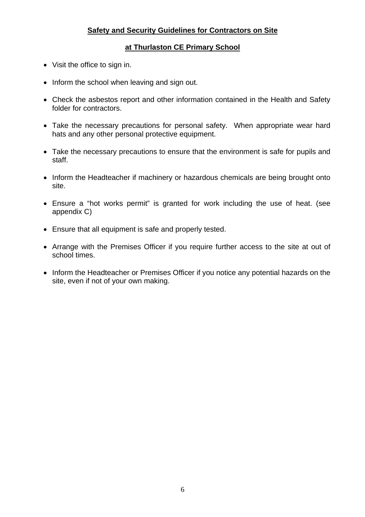### **Safety and Security Guidelines for Contractors on Site**

### **at Thurlaston CE Primary School**

- Visit the office to sign in.
- Inform the school when leaving and sign out.
- Check the asbestos report and other information contained in the Health and Safety folder for contractors.
- Take the necessary precautions for personal safety. When appropriate wear hard hats and any other personal protective equipment.
- Take the necessary precautions to ensure that the environment is safe for pupils and staff.
- Inform the Headteacher if machinery or hazardous chemicals are being brought onto site.
- Ensure a "hot works permit" is granted for work including the use of heat. (see appendix C)
- Ensure that all equipment is safe and properly tested.
- Arrange with the Premises Officer if you require further access to the site at out of school times.
- Inform the Headteacher or Premises Officer if you notice any potential hazards on the site, even if not of your own making.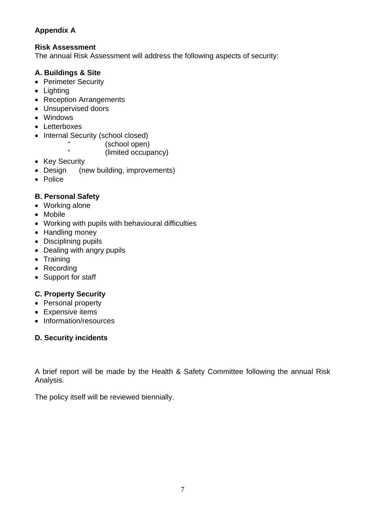## **Appendix A**

## **Risk Assessment**

The annual Risk Assessment will address the following aspects of security:

## **A. Buildings & Site**

- Perimeter Security
- Lighting
- Reception Arrangements
- Unsupervised doors
- Windows
- Letterboxes
- Internal Security (school closed)

" (school open)<br>" (limited open)

(limited occupancy)

- Key Security
- Design (new building, improvements)
- Police

## **B. Personal Safety**

- Working alone
- Mobile
- Working with pupils with behavioural difficulties
- Handling money
- Disciplining pupils
- Dealing with angry pupils
- Training
- Recording
- Support for staff

## **C. Property Security**

- Personal property
- Expensive items
- Information/resources

## **D. Security incidents**

A brief report will be made by the Health & Safety Committee following the annual Risk Analysis.

The policy itself will be reviewed biennially.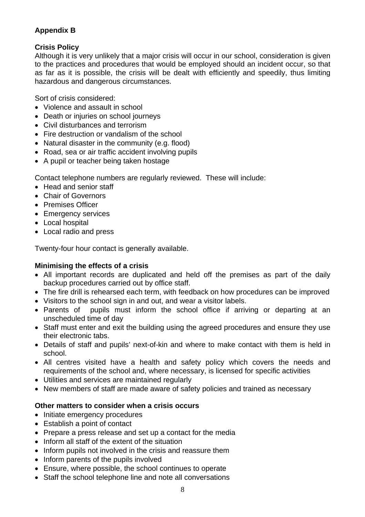## **Appendix B**

## **Crisis Policy**

Although it is very unlikely that a major crisis will occur in our school, consideration is given to the practices and procedures that would be employed should an incident occur, so that as far as it is possible, the crisis will be dealt with efficiently and speedily, thus limiting hazardous and dangerous circumstances.

Sort of crisis considered:

- Violence and assault in school
- Death or injuries on school journeys
- Civil disturbances and terrorism
- Fire destruction or vandalism of the school
- Natural disaster in the community (e.g. flood)
- Road, sea or air traffic accident involving pupils
- A pupil or teacher being taken hostage

Contact telephone numbers are regularly reviewed. These will include:

- Head and senior staff
- Chair of Governors
- Premises Officer
- Emergency services
- Local hospital
- Local radio and press

Twenty-four hour contact is generally available.

### **Minimising the effects of a crisis**

- All important records are duplicated and held off the premises as part of the daily backup procedures carried out by office staff.
- The fire drill is rehearsed each term, with feedback on how procedures can be improved
- Visitors to the school sign in and out, and wear a visitor labels.
- Parents of pupils must inform the school office if arriving or departing at an unscheduled time of day
- Staff must enter and exit the building using the agreed procedures and ensure they use their electronic tabs.
- Details of staff and pupils' next-of-kin and where to make contact with them is held in school.
- All centres visited have a health and safety policy which covers the needs and requirements of the school and, where necessary, is licensed for specific activities
- Utilities and services are maintained regularly
- New members of staff are made aware of safety policies and trained as necessary

## **Other matters to consider when a crisis occurs**

- Initiate emergency procedures
- Establish a point of contact
- Prepare a press release and set up a contact for the media
- Inform all staff of the extent of the situation
- Inform pupils not involved in the crisis and reassure them
- Inform parents of the pupils involved
- Ensure, where possible, the school continues to operate
- Staff the school telephone line and note all conversations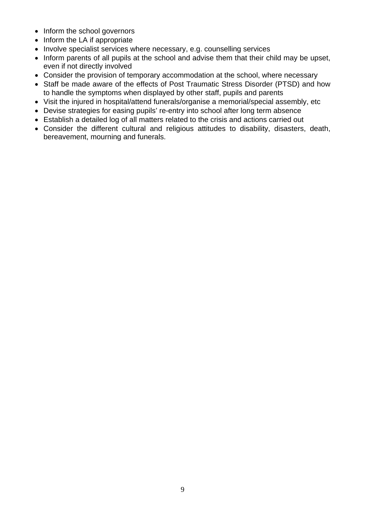- Inform the school governors
- Inform the LA if appropriate
- Involve specialist services where necessary, e.g. counselling services
- Inform parents of all pupils at the school and advise them that their child may be upset, even if not directly involved
- Consider the provision of temporary accommodation at the school, where necessary
- Staff be made aware of the effects of Post Traumatic Stress Disorder (PTSD) and how to handle the symptoms when displayed by other staff, pupils and parents
- Visit the injured in hospital/attend funerals/organise a memorial/special assembly, etc
- Devise strategies for easing pupils' re-entry into school after long term absence
- Establish a detailed log of all matters related to the crisis and actions carried out
- Consider the different cultural and religious attitudes to disability, disasters, death, bereavement, mourning and funerals.